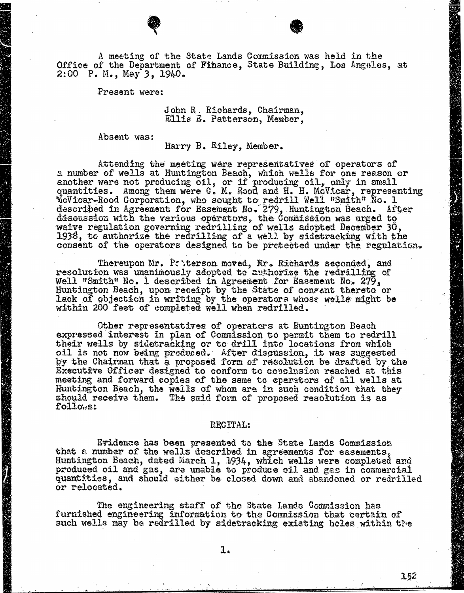A meeting of the State Lands Commission was held in the Office of the Department of Finance, State Building, Los Angeles, at 2:00 P. M., May 3, 1940.

Present were:

John R. Richards, Chairman, Ellis E. Patterson, Member,

Absent was:

Harry B. Riley, Member.

Attending the meeting were representatives of operat<br>a number of wells at Huntington Beach, which wells for one r another were not producing oil, or if producing oil, quantities. Among them were C. M. Rood and H. H. McVicar, representing vic i car-Rood Corporation, who sought to redrill Well "Smith" described in Agreement for Easement No. 279, Huntington Beach. discussion with the various operators, the Commission was up waive regulation governing redrilling of wells adopted December  $30$ , 1938, to authorize the redrilling of a well by sidetracking with the consent of the operators designed to be protected under the regulation.

Thereupon Mr. Patterson moved, Mr. Richards seconded, and resolution was unanimously adopted to authorize the redrilling of Well "Smith" No. 1 described in Agreement for Easement No. 279, Huntington Beach, upon receipt by the State of consent thereto or Lack of objection in writing by the operators whose wells might be within 200 feet of completed well when redrilled.

Other representatives of operators at Huntington Beach expressed interest in plan of Commission to permit them to redrill their wells by sidetracking or to drill into locations from which oil is not now being produced. After discussion, it was suggested by the Chairman that a proposed form of resolution be drafted by the Executive Officer designed to conform to conclusion reached at this meeting and forward copies of the same to eperators of all wells at Huntington Beach, the wells of whom are in such condition that they should receive them. The said form of proposed resolution is as follows:

## RECITAL:

Evidence has been presented to the State Lands Commission that a number of the wells described in agreements for easements, Huntington Beach, dated March 1, 1934, which wells were completed and produced oil and gas, are unable to produce oil and gas in commercial quantities, and should either be closed down and abandoned or redrilled or relocated.

The engineering staff of the State Lands Commission has furnished engineering information to the Commission that certain of such wells may be redrilled by sidetracking existing holes within the